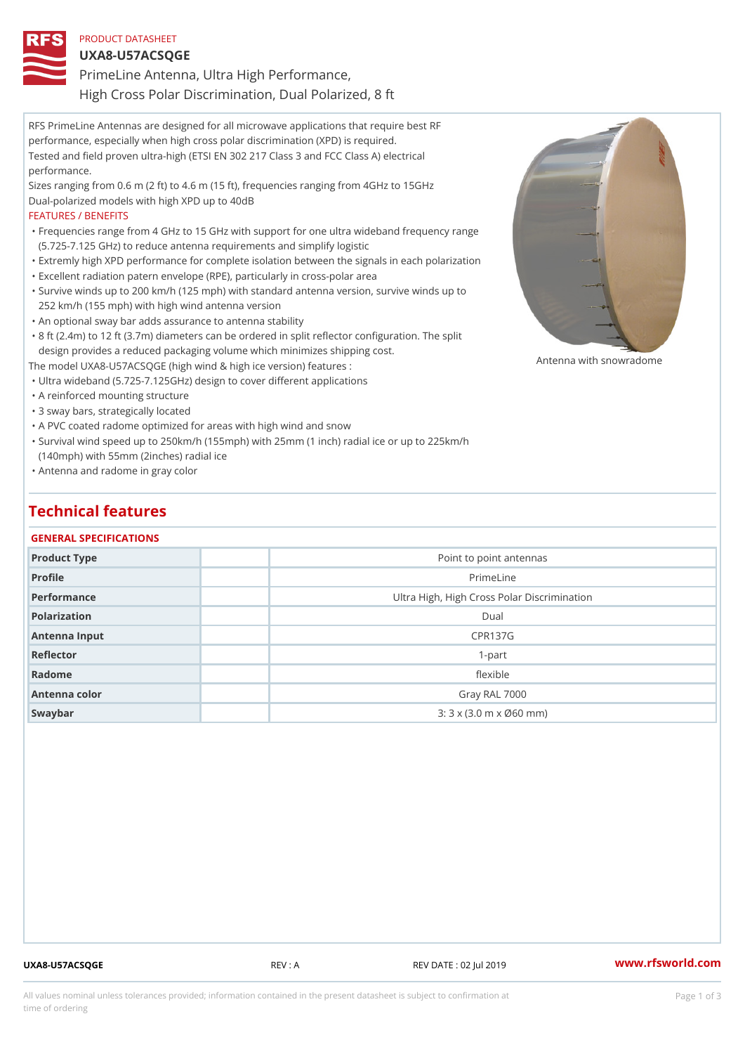### PRODUCT DATASHEET

## UXA8-U57ACSQGE

PrimeLine Antenna, Ultra High Performance,

RFS PrimeLine Antennas are designed for all microwave applications that require best RF performance, especially when high cross polar discrimination (XPD) is required. Tested and field proven ultra-high (ETSI EN 302 217 Class 3 and FCC Class A) electrical performance. Sizes ranging from 0.6 m (2 ft) to 4.6 m (15 ft), frequencies ranging from 4GHz to 15GHz Dual-polarized models with high XPD up to 40dB High Cross Polar Discrimination, Dual Polarized, 8 ft

#### FEATURES / BENEFITS

Frequencies range from 4 GHz to 15 GHz with support for one ultra wideband frequency range " (5.725-7.125 GHz) to reduce antenna requirements and simplify logistic

- "Extremly high XPD performance for complete isolation between the signals in each polarization "Excellent radiation patern envelope (RPE), particularly in cross-polar area
- Survive winds up to 200 km/h (125 mph) with standard antenna version, survive winds up to " 252 km/h (155 mph) with high wind antenna version
- "An optional sway bar adds assurance to antenna stability
- "8 ft (2.4m) to 12 ft (3.7m) diameters can be ordered in split reflector configuration. The split design provides a reduced packaging volume which minimizes shipping cost.

The model UXA8-U57ACSQGE (high wind & high ice version) features : "Ultra wideband (5.725-7.125GHz) design to cover different applications Antenna with snowradome

- "A reinforced mounting structure
- "3 sway bars, strategically located

"A PVC coated radome optimized for areas with high wind and snow

Survival wind speed up to 250km/h (155mph) with 25mm (1 inch) radial ice or up to 225km/h " (140mph) with 55mm (2inches) radial ice

"Antenna and radome in gray color

## Technical features

#### GENERAL SPECIFICATIONS

| Product Type  | Point to point antennas                                     |  |  |  |  |
|---------------|-------------------------------------------------------------|--|--|--|--|
| Profile       | PrimeLine                                                   |  |  |  |  |
| Performance   | Ultra High, High Cross Polar Discrimination                 |  |  |  |  |
| Polarization  | Dual                                                        |  |  |  |  |
| Antenna Input | <b>CPR137G</b>                                              |  |  |  |  |
| Reflector     | $1-part$                                                    |  |  |  |  |
| Radome        | flexible                                                    |  |  |  |  |
| Antenna color | Gray RAL 7000                                               |  |  |  |  |
| Swaybar       | $3:3 \times (3.0 \text{ m} \times \emptyset 60 \text{ mm})$ |  |  |  |  |
|               |                                                             |  |  |  |  |

UXA8-U57ACSQGE REV : A REV DATE : 02 Jul 2019 [www.](https://www.rfsworld.com)rfsworld.com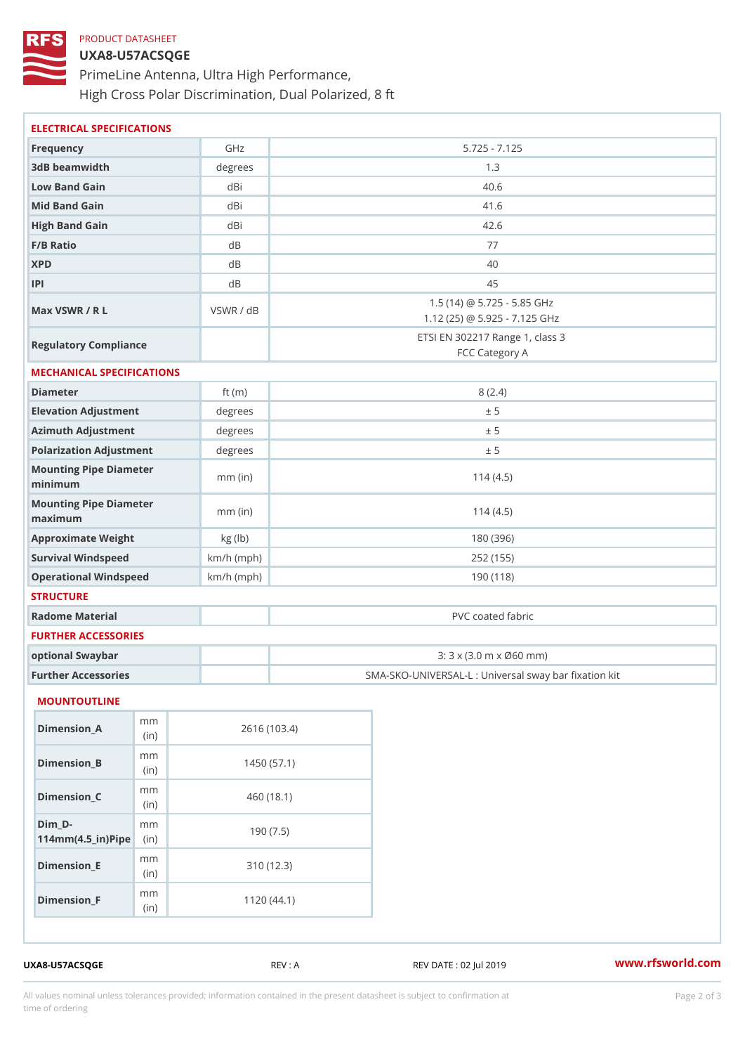## PRODUCT DATASHEET

## UXA8-U57ACSQGE

PrimeLine Antenna, Ultra High Performance, High Cross Polar Discrimination, Dual Polarized, 8 ft

| ELECTRICAL SPECIFICATIONS                                            |              |                                                              |                                                   |  |  |
|----------------------------------------------------------------------|--------------|--------------------------------------------------------------|---------------------------------------------------|--|--|
| Frequency                                                            | GHz          |                                                              | $5.725 - 7.125$                                   |  |  |
| 3dB beamwidth                                                        | degrees      | 1.3                                                          |                                                   |  |  |
| Low Band Gain                                                        | dBi          | 40.6                                                         |                                                   |  |  |
| Mid Band Gain                                                        | dBi          | 41.6                                                         |                                                   |  |  |
| High Band Gain                                                       | dBi          | 42.6                                                         |                                                   |  |  |
| F/B Ratio                                                            | d B          | 77                                                           |                                                   |  |  |
| <b>XPD</b>                                                           | d B          | 40                                                           |                                                   |  |  |
| P                                                                    | d B          | 45                                                           |                                                   |  |  |
| Max VSWR / R L                                                       | VSWR / dB    | 1.5 (14) @ 5.725 - 5.85 GHz<br>1.12 (25) @ 5.925 - 7.125 GHz |                                                   |  |  |
| Regulatory Compliance                                                |              | ETSI EN 302217 Range 1, class 3<br>FCC Category A            |                                                   |  |  |
| MECHANICAL SPECIFICATIONS                                            |              |                                                              |                                                   |  |  |
| Diameter                                                             | ft $(m)$     | 8(2.4)                                                       |                                                   |  |  |
| Elevation Adjustment                                                 | degrees      | ± 5                                                          |                                                   |  |  |
| Azimuth Adjustment                                                   | degrees      | ± 5                                                          |                                                   |  |  |
| Polarization Adjustment                                              | degrees      |                                                              | ± 5                                               |  |  |
| Mounting Pipe Diameter<br>minimum                                    | $mm$ (in)    |                                                              | 114(4.5)                                          |  |  |
| Mounting Pipe Diameter<br>maximum                                    | $mm$ (in)    |                                                              | 114(4.5)                                          |  |  |
| Approximate Weight                                                   | kg (lb)      |                                                              | 180 (396)                                         |  |  |
| Survival Windspeed                                                   | $km/h$ (mph) | 252 (155)                                                    |                                                   |  |  |
| Operational Windspeed                                                | $km/h$ (mph) |                                                              | 190 (118)                                         |  |  |
| <b>STRUCTURE</b>                                                     |              |                                                              |                                                   |  |  |
| Radome Material                                                      |              |                                                              | PVC coated fabric                                 |  |  |
| FURTHER ACCESSORIES                                                  |              |                                                              |                                                   |  |  |
| optional Swaybar                                                     |              | 3: 3 x (3.0 m x Ø60 mm)                                      |                                                   |  |  |
| Further Accessories                                                  |              |                                                              | SMA-SKO-UNIVERSAL-L : Universal sway bar fixation |  |  |
| MOUNTOUTLINE                                                         |              |                                                              |                                                   |  |  |
| m m<br>Dimension_A<br>(in)                                           |              | 2616 (103.4)                                                 |                                                   |  |  |
| m m<br>$Dimension_B$<br>(in)                                         |              | 1450(57.1)                                                   |                                                   |  |  |
| m m<br>$Dimension_C$<br>(in)                                         |              | 460(18.1)                                                    |                                                   |  |  |
| $Dim_D - D -$<br>m m<br>$114$ m m $(4.5$ _ ir $)$ $\mathbb{R}$ imple |              | 190(7.5)                                                     |                                                   |  |  |
| m m<br>$Dimension$ _ $E$<br>(in)                                     |              | 310(12.3)                                                    |                                                   |  |  |
| m m<br>$Dimension_F$<br>(in)                                         |              | 1120(44.1)                                                   |                                                   |  |  |
| UXA8-U57ACSQGE                                                       |              | REV : A                                                      | www.rfsworld.co<br>REV DATE : 02 Jul 2019         |  |  |